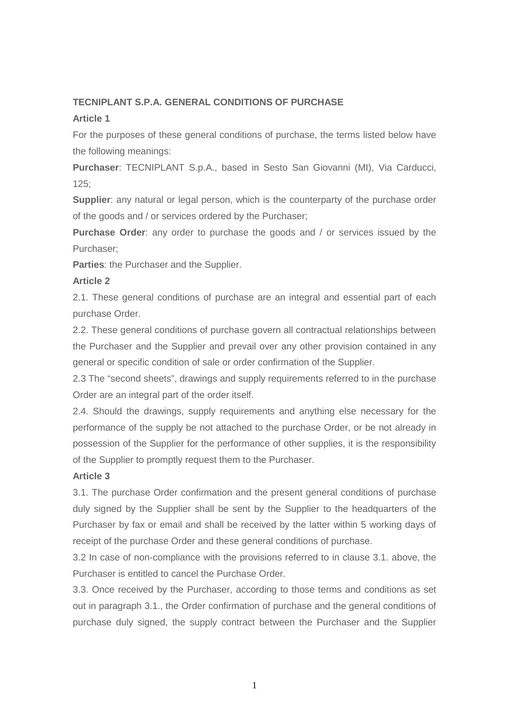# **TECNIPLANT S.P.A. GENERAL CONDITIONS OF PURCHASE**

## **Article 1**

For the purposes of these general conditions of purchase, the terms listed below have the following meanings:

**Purchaser**: TECNIPLANT S.p.A., based in Sesto San Giovanni (MI), Via Carducci, 125;

**Supplier**: any natural or legal person, which is the counterparty of the purchase order of the goods and / or services ordered by the Purchaser;

**Purchase Order**: any order to purchase the goods and / or services issued by the Purchaser;

**Parties**: the Purchaser and the Supplier.

## **Article 2**

2.1. These general conditions of purchase are an integral and essential part of each purchase Order.

2.2. These general conditions of purchase govern all contractual relationships between the Purchaser and the Supplier and prevail over any other provision contained in any general or specific condition of sale or order confirmation of the Supplier.

2.3 The "second sheets", drawings and supply requirements referred to in the purchase Order are an integral part of the order itself.

2.4. Should the drawings, supply requirements and anything else necessary for the performance of the supply be not attached to the purchase Order, or be not already in possession of the Supplier for the performance of other supplies, it is the responsibility of the Supplier to promptly request them to the Purchaser.

## **Article 3**

3.1. The purchase Order confirmation and the present general conditions of purchase duly signed by the Supplier shall be sent by the Supplier to the headquarters of the Purchaser by fax or email and shall be received by the latter within 5 working days of receipt of the purchase Order and these general conditions of purchase.

3.2 In case of non-compliance with the provisions referred to in clause 3.1. above, the Purchaser is entitled to cancel the Purchase Order.

3.3. Once received by the Purchaser, according to those terms and conditions as set out in paragraph 3.1., the Order confirmation of purchase and the general conditions of purchase duly signed, the supply contract between the Purchaser and the Supplier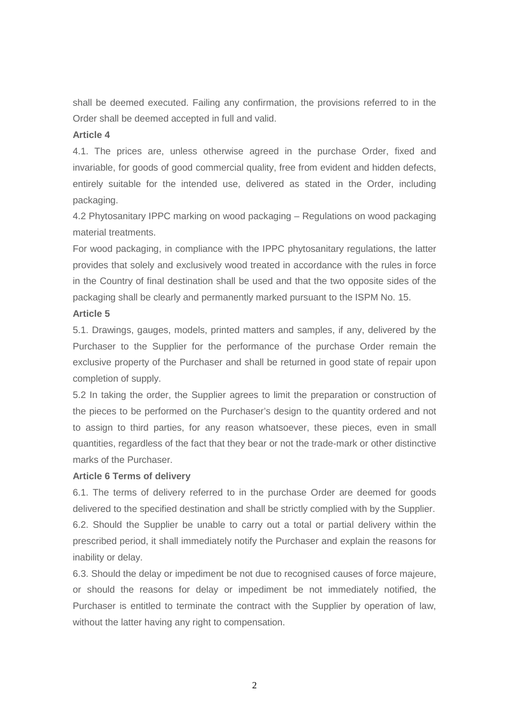shall be deemed executed. Failing any confirmation, the provisions referred to in the Order shall be deemed accepted in full and valid.

## **Article 4**

4.1. The prices are, unless otherwise agreed in the purchase Order, fixed and invariable, for goods of good commercial quality, free from evident and hidden defects, entirely suitable for the intended use, delivered as stated in the Order, including packaging.

4.2 Phytosanitary IPPC marking on wood packaging – Regulations on wood packaging material treatments.

For wood packaging, in compliance with the IPPC phytosanitary regulations, the latter provides that solely and exclusively wood treated in accordance with the rules in force in the Country of final destination shall be used and that the two opposite sides of the packaging shall be clearly and permanently marked pursuant to the ISPM No. 15.

# **Article 5**

5.1. Drawings, gauges, models, printed matters and samples, if any, delivered by the Purchaser to the Supplier for the performance of the purchase Order remain the exclusive property of the Purchaser and shall be returned in good state of repair upon completion of supply.

5.2 In taking the order, the Supplier agrees to limit the preparation or construction of the pieces to be performed on the Purchaser's design to the quantity ordered and not to assign to third parties, for any reason whatsoever, these pieces, even in small quantities, regardless of the fact that they bear or not the trade-mark or other distinctive marks of the Purchaser.

## **Article 6 Terms of delivery**

6.1. The terms of delivery referred to in the purchase Order are deemed for goods delivered to the specified destination and shall be strictly complied with by the Supplier. 6.2. Should the Supplier be unable to carry out a total or partial delivery within the prescribed period, it shall immediately notify the Purchaser and explain the reasons for inability or delay.

6.3. Should the delay or impediment be not due to recognised causes of force majeure, or should the reasons for delay or impediment be not immediately notified, the Purchaser is entitled to terminate the contract with the Supplier by operation of law, without the latter having any right to compensation.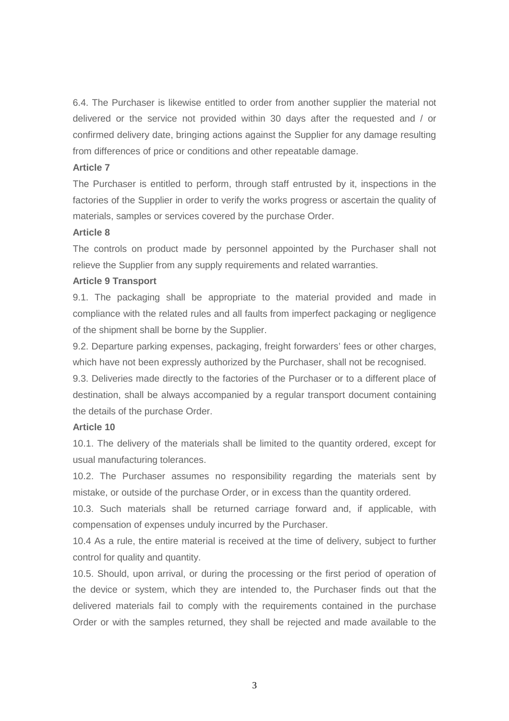6.4. The Purchaser is likewise entitled to order from another supplier the material not delivered or the service not provided within 30 days after the requested and / or confirmed delivery date, bringing actions against the Supplier for any damage resulting from differences of price or conditions and other repeatable damage.

### **Article 7**

The Purchaser is entitled to perform, through staff entrusted by it, inspections in the factories of the Supplier in order to verify the works progress or ascertain the quality of materials, samples or services covered by the purchase Order.

### **Article 8**

The controls on product made by personnel appointed by the Purchaser shall not relieve the Supplier from any supply requirements and related warranties.

## **Article 9 Transport**

9.1. The packaging shall be appropriate to the material provided and made in compliance with the related rules and all faults from imperfect packaging or negligence of the shipment shall be borne by the Supplier.

9.2. Departure parking expenses, packaging, freight forwarders' fees or other charges, which have not been expressly authorized by the Purchaser, shall not be recognised.

9.3. Deliveries made directly to the factories of the Purchaser or to a different place of destination, shall be always accompanied by a regular transport document containing the details of the purchase Order.

## **Article 10**

10.1. The delivery of the materials shall be limited to the quantity ordered, except for usual manufacturing tolerances.

10.2. The Purchaser assumes no responsibility regarding the materials sent by mistake, or outside of the purchase Order, or in excess than the quantity ordered.

10.3. Such materials shall be returned carriage forward and, if applicable, with compensation of expenses unduly incurred by the Purchaser.

10.4 As a rule, the entire material is received at the time of delivery, subject to further control for quality and quantity.

10.5. Should, upon arrival, or during the processing or the first period of operation of the device or system, which they are intended to, the Purchaser finds out that the delivered materials fail to comply with the requirements contained in the purchase Order or with the samples returned, they shall be rejected and made available to the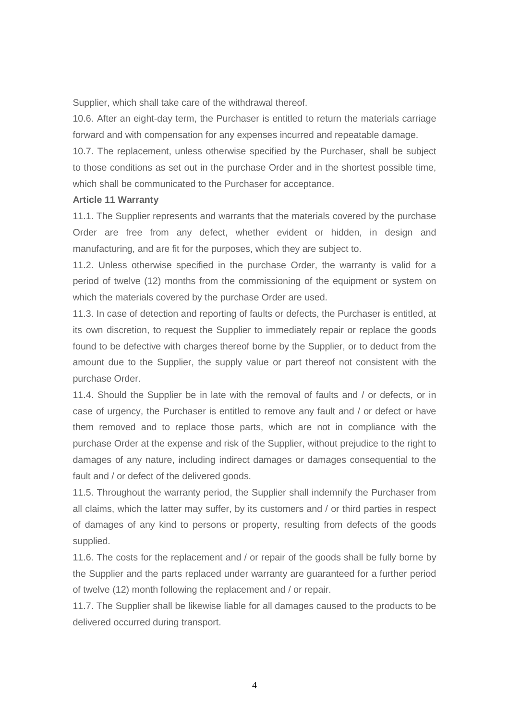Supplier, which shall take care of the withdrawal thereof.

10.6. After an eight-day term, the Purchaser is entitled to return the materials carriage forward and with compensation for any expenses incurred and repeatable damage.

10.7. The replacement, unless otherwise specified by the Purchaser, shall be subject to those conditions as set out in the purchase Order and in the shortest possible time, which shall be communicated to the Purchaser for acceptance.

### **Article 11 Warranty**

11.1. The Supplier represents and warrants that the materials covered by the purchase Order are free from any defect, whether evident or hidden, in design and manufacturing, and are fit for the purposes, which they are subject to.

11.2. Unless otherwise specified in the purchase Order, the warranty is valid for a period of twelve (12) months from the commissioning of the equipment or system on which the materials covered by the purchase Order are used.

11.3. In case of detection and reporting of faults or defects, the Purchaser is entitled, at its own discretion, to request the Supplier to immediately repair or replace the goods found to be defective with charges thereof borne by the Supplier, or to deduct from the amount due to the Supplier, the supply value or part thereof not consistent with the purchase Order.

11.4. Should the Supplier be in late with the removal of faults and / or defects, or in case of urgency, the Purchaser is entitled to remove any fault and / or defect or have them removed and to replace those parts, which are not in compliance with the purchase Order at the expense and risk of the Supplier, without prejudice to the right to damages of any nature, including indirect damages or damages consequential to the fault and / or defect of the delivered goods.

11.5. Throughout the warranty period, the Supplier shall indemnify the Purchaser from all claims, which the latter may suffer, by its customers and / or third parties in respect of damages of any kind to persons or property, resulting from defects of the goods supplied.

11.6. The costs for the replacement and / or repair of the goods shall be fully borne by the Supplier and the parts replaced under warranty are guaranteed for a further period of twelve (12) month following the replacement and / or repair.

11.7. The Supplier shall be likewise liable for all damages caused to the products to be delivered occurred during transport.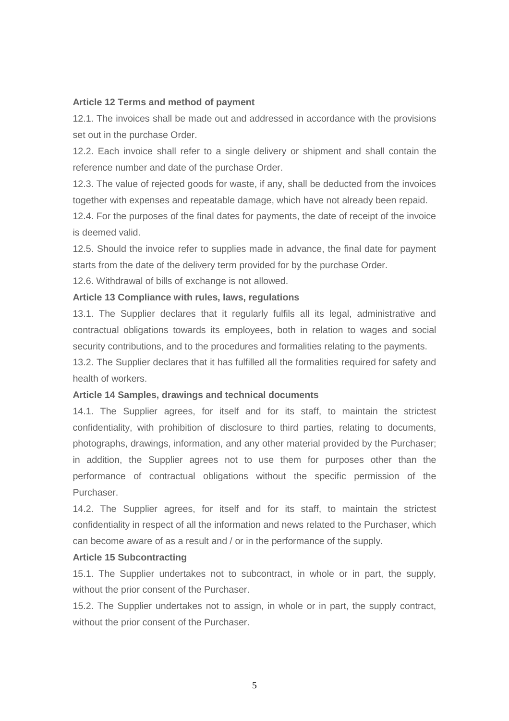#### **Article 12 Terms and method of payment**

12.1. The invoices shall be made out and addressed in accordance with the provisions set out in the purchase Order.

12.2. Each invoice shall refer to a single delivery or shipment and shall contain the reference number and date of the purchase Order.

12.3. The value of rejected goods for waste, if any, shall be deducted from the invoices together with expenses and repeatable damage, which have not already been repaid.

12.4. For the purposes of the final dates for payments, the date of receipt of the invoice is deemed valid.

12.5. Should the invoice refer to supplies made in advance, the final date for payment starts from the date of the delivery term provided for by the purchase Order.

12.6. Withdrawal of bills of exchange is not allowed.

### **Article 13 Compliance with rules, laws, regulations**

13.1. The Supplier declares that it regularly fulfils all its legal, administrative and contractual obligations towards its employees, both in relation to wages and social security contributions, and to the procedures and formalities relating to the payments.

13.2. The Supplier declares that it has fulfilled all the formalities required for safety and health of workers.

### **Article 14 Samples, drawings and technical documents**

14.1. The Supplier agrees, for itself and for its staff, to maintain the strictest confidentiality, with prohibition of disclosure to third parties, relating to documents, photographs, drawings, information, and any other material provided by the Purchaser; in addition, the Supplier agrees not to use them for purposes other than the performance of contractual obligations without the specific permission of the Purchaser.

14.2. The Supplier agrees, for itself and for its staff, to maintain the strictest confidentiality in respect of all the information and news related to the Purchaser, which can become aware of as a result and / or in the performance of the supply.

### **Article 15 Subcontracting**

15.1. The Supplier undertakes not to subcontract, in whole or in part, the supply, without the prior consent of the Purchaser.

15.2. The Supplier undertakes not to assign, in whole or in part, the supply contract, without the prior consent of the Purchaser.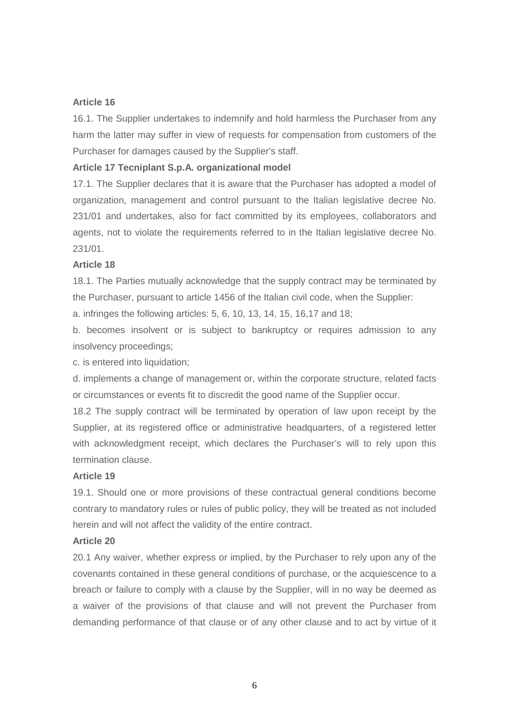#### **Article 16**

16.1. The Supplier undertakes to indemnify and hold harmless the Purchaser from any harm the latter may suffer in view of requests for compensation from customers of the Purchaser for damages caused by the Supplier's staff.

#### **Article 17 Tecniplant S.p.A. organizational model**

17.1. The Supplier declares that it is aware that the Purchaser has adopted a model of organization, management and control pursuant to the Italian legislative decree No. 231/01 and undertakes, also for fact committed by its employees, collaborators and agents, not to violate the requirements referred to in the Italian legislative decree No. 231/01.

#### **Article 18**

18.1. The Parties mutually acknowledge that the supply contract may be terminated by the Purchaser, pursuant to article 1456 of the Italian civil code, when the Supplier:

a. infringes the following articles: 5, 6, 10, 13, 14, 15, 16,17 and 18;

b. becomes insolvent or is subject to bankruptcy or requires admission to any insolvency proceedings;

c. is entered into liquidation;

d. implements a change of management or, within the corporate structure, related facts or circumstances or events fit to discredit the good name of the Supplier occur.

18.2 The supply contract will be terminated by operation of law upon receipt by the Supplier, at its registered office or administrative headquarters, of a registered letter with acknowledgment receipt, which declares the Purchaser's will to rely upon this termination clause.

#### **Article 19**

19.1. Should one or more provisions of these contractual general conditions become contrary to mandatory rules or rules of public policy, they will be treated as not included herein and will not affect the validity of the entire contract.

### **Article 20**

20.1 Any waiver, whether express or implied, by the Purchaser to rely upon any of the covenants contained in these general conditions of purchase, or the acquiescence to a breach or failure to comply with a clause by the Supplier, will in no way be deemed as a waiver of the provisions of that clause and will not prevent the Purchaser from demanding performance of that clause or of any other clause and to act by virtue of it